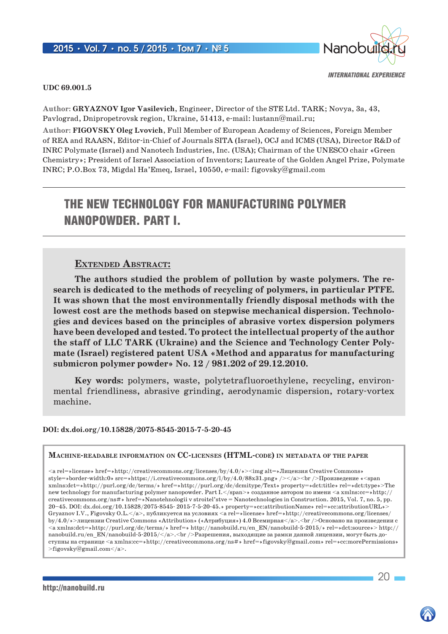

### **UDC 69.001.5**

**Author: Gryaznov Igor Vasilevich**, Engineer, Director of the STE Ltd. TARK; Novya, 3a, 43, Pavlograd, Dnipropetrovsk region, Ukraine, 51413, e-mail: lustann@mail.ru;

**Author: FIGOVSKY Oleg Lvovich**, Full Member of European Academy of Sciences, Foreign Member of REA and RAASN, Editor-in-Chief of Journals SITA (Israel), OCJ and ICMS (USA), Director R&D of INRC Polymate (Israel) and Nanotech Industries, Inc. (USA); Chairman of the UNESCO chair «Green Chemistry»; President of Israel Association of Inventors; Laureate of the Golden Angel Prize, Polymate INRC; P.O.Box 73, Migdal Ha'Emeq, Israel, 10550, e-mail: figovsky@gmail.com

# The new technology for manufacturing polymer nanopowder. PART I.

### **Extended Abstract:**

**The authors studied the problem of pollution by waste polymers. The research is dedicated to the methods of recycling of polymers, in particular PTFE. It was shown that the most environmentally friendly disposal methods with the lowest cost are the methods based on stepwise mechanical dispersion. Technologies and devices based on the principles of abrasive vortex dispersion polymers have been developed and tested. To protect the intellectual property of the author the staff of LLC TARK (Ukraine) and the Science and Technology Center Polymate (Israel) registered patent USA «Method and apparatus for manufacturing submicron polymer powder» No. 12 / 981.202 of 29.12.2010.**

**Key words:** polymers, waste, polytetrafluoroethylene, recycling, environmental friendliness, abrasive grinding, aerodynamic dispersion, rotary-vortex machine.

### **DOI: dx.doi.org/10.15828/2075-8545-2015-7-5-20-45**

#### **Machine-readable information on CC-licenses (HTML-code) in metadata of the paper**

<a rel=»license» href=»http://creativecommons.org/licenses/by/4.0/»><img alt=»Лицензия Creative Commons» style=»border-width:0» src=»https://i.creativecommons.org/l/by/4.0/88x31.png» /></a><br />br />Произведение «<span xmlns:dct=»http://purl.org/dc/terms/» href=»http://purl.org/dc/dcmitype/Text» property=»dct:title» rel=»dct:type»>The new technology for manufacturing polymer nanopowder. Part I.</span>» созданное автором по имени <a xmlns:cc=»http:// creativecommons.org/ns#» href=»Nanotehnologii v stroitel'stve = Nanotechnologies in Construction. 2015, Vol. 7, no. 5, pp. 20–45. DOI: dx.doi.org/10.15828/2075-8545- 2015-7-5-20-45.» property=»cc:attributionName» rel=»cc:attributionURL»> Gryaznov I.V., Figovsky O.L.</a>, публикуется на условиях <a rel=»license» href=»http://creativecommons.org/licenses/ by/4.0/»>лицензии Creative Commons «Attribution» («Атрибуция») 4.0 Всемирная</a>.<br/>-Sr />Основано на произведении с <a xmlns:dct=»http://purl.org/dc/terms/» href=» http://nanobuild.ru/en\_EN/nanobuild-5-2015/» rel=»dct:source»> http:// nanobuild.ru/en\_EN/nanobuild-5-2015/ $\lt/$ a $\gt$ . $\lt$ br/ $>$ Разрешения, выходящие за рамки данной лицензии, могут быть доступны на странице <a xmlns:cc=»http://creativecommons.org/ns#» href=»figovsky@gmail.com» rel=»cc:morePermissions»  $>\nifigovskv@gmail.com 2.$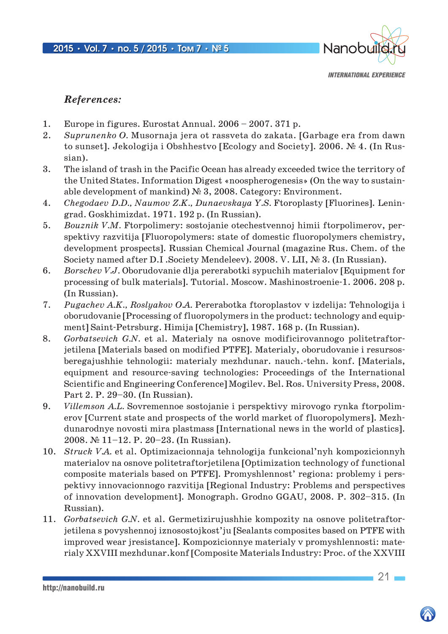

### *References:*

- 1. Europe in figures. Eurostat Annual. 2006 2007. 371 p.
- 2. *Suprunenko O.* Musornaja jera ot rassveta do zakata. [Garbage era from dawn to sunset]. Jekologija i Obshhestvo [Ecology and Society]. 2006. № 4. (In Russian).
- 3. The island of trash in the Pacific Ocean has already exceeded twice the territory of the United States. Information Digest «noospherogenesis» (On the way to sustainable development of mankind) № 3, 2008. Category: Environment.
- 4. *Chegodaev D.D., Naumov Z.K., Dunaevskaya Y.S.* Ftoroplasty [Fluorines]. Leningrad. Goskhimizdat. 1971. 192 p. (In Russian).
- 5. *Bouznik V.M.* Ftorpolimery: sostojanie otechestvennoj himii ftorpolimerov, perspektivy razvitija [Fluoropolymers: state of domestic fluoropolymers chemistry, development prospects]. Russian Chemical Journal (magazine Rus. Chem. of the Society named after D.I .Society Mendeleev). 2008. V. LII, № 3. (In Russian).
- 6. *Borschev V.J.* Oborudovanie dlja pererabotki sypuchih materialov [Equipment for processing of bulk materials]. Tutorial. Moscow. Mashinostroenie-1. 2006. 208 p. (In Russian).
- 7. *Pugachev A.K., Roslyakov O.A.* Pererabotka ftoroplastov v izdelija: Tehnologija i oborudovanie [Processing of fluoropolymers in the product: technology and equipment] Saint-Petrsburg. Himija [Chemistry], 1987. 168 p. (In Russian).
- 8. *Gorbatsevich G.N.* et al. Materialy na osnove modificirovannogo politetraftorjetilena [Materials based on modified PTFE]. Materialy, oborudovanie i resursosberegajushhie tehnologii: materialy mezhdunar. nauch.-tehn. konf. [Materials, equipment and resource-saving technologies: Proceedings of the International Scientific and Engineering Conference] Mogilev. Bel. Ros. University Press, 2008. Part 2. P. 29–30. (In Russian).
- 9. *Villemson A.L.* Sovremennoe sostojanie i perspektivy mirovogo rynka ftorpolimerov [Current state and prospects of the world market of fluoropolymers]. Mezhdunarodnye novosti mira plastmass [International news in the world of plastics]. 2008. № 11–12. P. 20–23. (In Russian).
- 10. *Struck V.A.* et al. Optimizacionnaja tehnologija funkcional'nyh kompozicionnyh materialov na osnove politetraftorjetilena [Optimization technology of functional composite materials based on PTFE]. Promyshlennost' regiona: problemy i perspektivy innovacionnogo razvitija [Regional Industry: Problems and perspectives of innovation development]. Monograph. Grodno GGAU, 2008. P. 302–315. (In Russian).
- 11. *Gorbatsevich G.N.* et al. Germetizirujushhie kompozity na osnove politetraftorjetilena s povyshennoj iznosostojkost'ju [Sealants composites based on PTFE with improved wear jresistance]. Kompozicionnye materialy v promyshlennosti: materialy XXVIII mezhdunar.konf [Composite Materials Industry: Proc. of the XXVIII

http://nanobuild.ru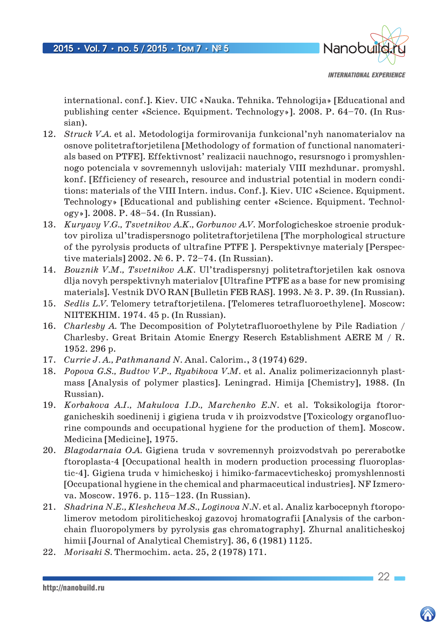

*INTERNATIONAL EXPERIENCE*

international. conf.]. Kiev. UIC «Nauka. Tehnika. Tehnologija» [Educational and publishing center «Science. Equipment. Technology»]. 2008. P. 64–70. (In Russian).

- 12. *Struck V.A.* et al. Metodologija formirovanija funkcional'nyh nanomaterialov na osnove politetraftorjetilena [Methodology of formation of functional nanomaterials based on PTFE]. Effektivnost' realizacii nauchnogo, resursnogo i promyshlennogo potenciala v sovremennyh uslovijah: materialy VIII mezhdunar. promyshl. konf. [Efficiency of research, resource and industrial potential in modern conditions: materials of the VIII Intern. indus. Conf.]. Kiev. UIC «Science. Equipment. Technology» [Educational and publishing center «Science. Equipment. Technology»]. 2008. P. 48–54. (In Russian).
- 13. *Kuryavy V.G., Tsvetnikov A.K., Gorbunov A.V.* Morfologicheskoe stroenie produktov piroliza ul'tradispersnogo politetraftorjetilena [The morphological structure of the pyrolysis products of ultrafine PTFE ]. Perspektivnye materialy [Perspective materials] 2002. № 6. P. 72–74. (In Russian).
- 14. *Bouznik V.M., Tsvetnikov A.K.* Ul'tradispersnyj politetraftorjetilen kak osnova dlja novyh perspektivnyh materialov [Ultrafine PTFE as a base for new promising materials]. Vestnik DVO RAN [Bulletin FEB RAS]. 1993. № 3. P. 39. (In Russian).
- 15. *Sedlis L.V.* Telomery tetraftorjetilena. [Telomeres tetrafluoroethylene]. Moscow: NIITEKHIM. 1974. 45 p. (In Russian).
- 16. *Charlesby A.* The Decomposition of Polytetrafluoroethylene by Pile Radiation / Charlesby. Great Britain Atomic Energy Reserch Establishment AERE M / R. 1952. 296 p.
- 17. *Currie J. A., Pathmanand N.* Anal. Calorim., 3 (1974) 629.
- 18. *Popova G.S., Budtov V.P., Ryabikova V.M.* et al. Analiz polimerizacionnyh plastmass [Analysis of polymer plastics]. Leningrad. Himija [Chemistry], 1988. (In Russian).
- 19. *Korbakova A.I., Makulova I.D., Marchenko E.N.* et al. Toksikologija ftororganicheskih soedinenij i gigiena truda v ih proizvodstve [Toxicology organofluorine compounds and occupational hygiene for the production of them]. Moscow. Medicina [Medicine], 1975.
- 20. *Blagodarnaia O.A.* Gigiena truda v sovremennyh proizvodstvah po pererabotke ftoroplasta-4 [Occupational health in modern production processing fluoroplastic-4]. Gigiena truda v himicheskoj i himiko-farmacevticheskoj promyshlennosti [Occupational hygiene in the chemical and pharmaceutical industries]. NF Izmerova. Moscow. 1976. p. 115–123. (In Russian).
- 21. *Shadrina N.E., Kleshcheva M.S., Loginova N.N.* et al. Analiz karbocepnyh ftoropolimerov metodom piroliticheskoj gazovoj hromatografii [Analysis of the carbonchain fluoropolymers by pyrolysis gas chromatography]. Zhurnal analiticheskoj himii [Journal of Analytical Chemistry]. 36, 6 (1981) 1125.
- 22. *Morisaki S.* Thermochim. acta. 25, 2 (1978) 171.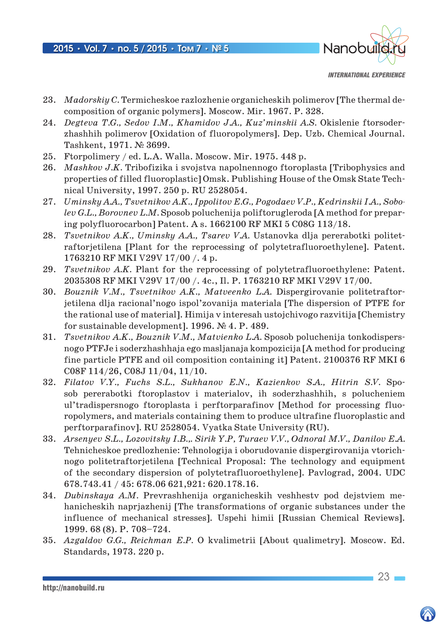

*INTERNATIONAL EXPERIENCE*

- 23. *Madorskiy C.* Termicheskoe razlozhenie organicheskih polimerov [The thermal decomposition of organic polymers]. Moscow. Mir. 1967. P. 328.
- 24. *Degteva T.G., Sedov I.M., Khamidov J.A., Kuz'minskii A.S.* Okislenie ftorsoderzhashhih polimerov [Oxidation of fluoropolymers]. Dep. Uzb. Chemical Journal. Tashkent, 1971. № 3699.
- 25. Ftorpolimery / ed. L.A. Walla. Moscow. Mir. 1975. 448 p.
- 26. *Mashkov J.K.* Tribofizika i svojstva napolnennogo ftoroplasta [Tribophysics and properties of filled fluoroplastic] Omsk. Publishing House of the Omsk State Technical University, 1997. 250 p. RU 2528054.
- 27. *Uminsky A.A., Tsvetnikov A.K., Ippolitov E.G., Pogodaev V.P., Kedrinskii I.A., Sobolev G.L., Borovnev L.M.* Sposob poluchenija poliftorugleroda [A method for preparing polyfluorocarbon] Patent. A s. 1662100 RF MKI 5 C08G 113/18.
- 28. *Tsvetnikov A.K., Uminsky A.A., Tsarev V.A.* Ustanovka dlja pererabotki politetraftorjetilena [Plant for the reprocessing of polytetrafluoroethylene]. Patent. 1763210 RF MKI V29V 17/00 /. 4 p.
- 29. *Tsvetnikov A.K.* Plant for the reprocessing of polytetrafluoroethylene: Patent. 2035308 RF MKI V29V 17/00 /. 4c., Il. P. 1763210 RF MKI V29V 17/00.
- 30. *Bouznik V.M., Tsvetnikov A.K., Matveenko L.A.* Dispergirovanie politetraftorjetilena dlja racional'nogo ispol'zovanija materiala [The dispersion of PTFE for the rational use of material]. Himija v interesah ustojchivogo razvitija [Chemistry for sustainable development]. 1996. № 4. P. 489.
- 31. *Tsvetnikov A.K., Bouznik V.M., Matvienko L.A.* Sposob poluchenija tonkodispersnogo PTFJe i soderzhashhaja ego masljanaja kompozicija [A method for producing fine particle PTFE and oil composition containing it] Patent. 2100376 RF MKI 6 C08F 114/26, C08J 11/04, 11/10.
- 32. *Filatov V.Y., Fuchs S.L., Sukhanov E.N., Kazienkov S.A., Hitrin S.V.* Sposob pererabotki ftoroplastov i materialov, ih soderzhashhih, s polucheniem ul'tradispersnogo ftoroplasta i perftorparafinov [Method for processing fluoropolymers, and materials containing them to produce ultrafine fluoroplastic and perftorparafinov]. RU 2528054. Vyatka State University (RU).
- 33. *Arsenyev S.L., Lozovitsky I.B.,. Sirik Y.P, Turaev V.V., Odnoral M.V., Danilov E.A.* Tehnicheskoe predlozhenie: Tehnologija i oborudovanie dispergirovanija vtorichnogo politetraftorjetilena [Technical Proposal: The technology and equipment of the secondary dispersion of polytetrafluoroethylene]. Pavlograd, 2004. UDC 678.743.41 / 45: 678.06 621,921: 620.178.16.
- 34. *Dubinskaya A.M.* Prevrashhenija organicheskih veshhestv pod dejstviem mehanicheskih naprjazhenij [The transformations of organic substances under the influence of mechanical stresses]. Uspehi himii [Russian Chemical Reviews]. 1999. 68 (8). P. 708–724.
- 35. *Azgaldov G.G., Reichman E.P.* O kvalimetrii [About qualimetry]. Moscow. Ed. Standards, 1973. 220 p.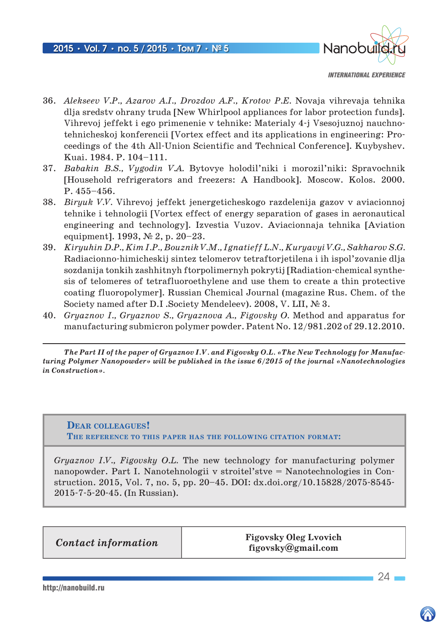

*INTERNATIONAL EXPERIENCE*

- 36. *Alekseev V.P., Azarov A.I., Drozdov A.F., Krotov P.E.* Novaja vihrevaja tehnika dlja sredstv ohrany truda [New Whirlpool appliances for labor protection funds]. Vihrevoj jeffekt i ego primenenie v tehnike: Materialy 4-j Vsesojuznoj nauchnotehnicheskoj konferencii [Vortex effect and its applications in engineering: Proceedings of the 4th All-Union Scientific and Technical Conference]. Kuybyshev. Kuai. 1984. P. 104–111.
- 37. *Babakin B.S., Vygodin V.A.* Bytovye holodil'niki i morozil'niki: Spravochnik [Household refrigerators and freezers: A Handbook]. Moscow. Kolos. 2000. Р. 455–456.
- 38. *Biryuk V.V.* Vihrevoj jeffekt jenergeticheskogo razdelenija gazov v aviacionnoj tehnike i tehnologii [Vortex effect of energy separation of gases in aeronautical engineering and technology]. Izvestia Vuzov. Aviacionnaja tehnika [Aviation equipment]. 1993, № 2, p. 20–23.
- 39. *Kiryuhin D.P., Kim I.P., Bouznik V.M., Ignatieff L.N., Kuryavyi V.G., Sakharov S.G.* Radiacionno-himicheskij sintez telomerov tetraftorjetilena i ih ispol'zovanie dlja sozdanija tonkih zashhitnyh ftorpolimernyh pokrytij [Radiation-chemical synthesis of telomeres of tetrafluoroethylene and use them to create a thin protective coating fluoropolymer]. Russian Chemical Journal (magazine Rus. Chem. of the Society named after D.I .Society Mendeleev). 2008, V. LII, № 3.
- 40. *Gryaznov I., Gryaznov S., Gryaznova A., Figovsky O.* Method and apparatus for manufacturing submicron polymer powder. Patent No. 12/981.202 of 29.12.2010.

*The Рart II of the paper of Gryaznov I.V. and Figovsky O.L. «The New Technology for Manufacturing Polymer Nanopowder» will be published in the issue 6/2015 of the journal «Nanotechnologies in Construction».*

**Dear colleagues! The reference to this paper has the following citation format:**

*Gryaznov I.V., Figovsky O.L.* The new technology for manufacturing polymer nanopowder. Part I. Nanotehnologii v stroitel'stve = Nanotechnologies in Construction. 2015, Vol. 7, no. 5, pp. 20–45. DOI: dx.doi.org/10.15828/2075-8545- 2015-7-5-20-45. (In Russian).

**Contact information Figovsky Oleg Lvovich figovsky@gmail.com**

http://nanobuild.ru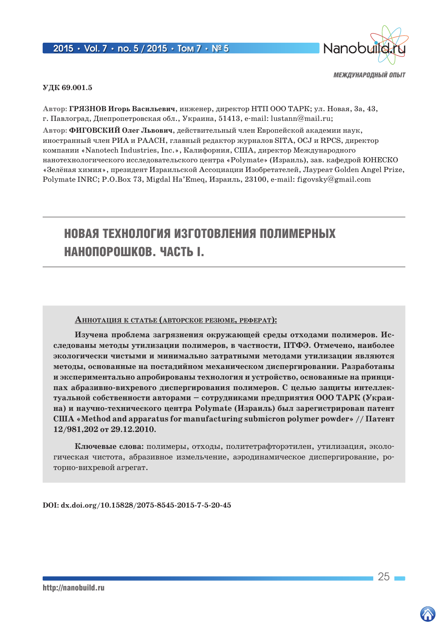### 2015 **•** Vol. 7 **•** no. 5 / 2015 **•** Том 7 **•** № 5



*МЕЖДУНАРОДНЫЙ ОПЫТ*

#### **УДК 69.001.5**

**Автор: ГРЯЗНОВ Игорь Васильевич**, инженер, директор НТП ООО ТАРК; ул. Новая, 3а, 43, г. Павлоград, Днепропетровская обл., Украина, 51413, e-mail: lustann@mail.ru;

**Автор: ФИГОВСКИЙ Олег Львович**, действительный член Европейской академии наук, иностранный член РИА и РААСН, главный редактор журналов SITA, OCJ и RPCS, директор компании «Nanotech Industries, Inc.», Калифорния, CША, директор Международного нанотехнологического исследовательского центра «Polymate» (Израиль), зав. кафедрой ЮНЕСКО «Зелёная химия», президент Израильской Ассоциации Изобретателей, Лауреат Golden Angel Prize, Polymate INRC; P.O.Box 73, Migdal Ha'Emeq, Израиль, 23100, e-mail: figovsky@gmail.com

# Новая технология изготовления полимерных нанопорошков. Часть I.

#### **АннотАция <sup>к</sup> стАтье (Авторское резюме, реферАт):**

**Изучена проблема загрязнения окружающей среды отходами полимеров. Исследованы методы утилизации полимеров, в частности, ПТФЭ. Отмечено, наиболее экологически чистыми и минимально затратными методами утилизации являются методы, основанные на постадийном механическом диспергировании. Разработаны и экспериментально апробированы технология и устройство, основанные на принципах абразивно-вихревого диспергирования полимеров. С целью защиты интеллектуальной собственности авторами – сотрудниками предприятия ООО ТАРК (Украина) и научно-технического центра Polymate (Израиль) был зарегистрирован патент США «Method and apparatus for manufacturing submicron polymer powder» // Патент 12/981,202 от 29.12.2010.**

**Ключевые слова:** полимеры, отходы, политетрафторэтилен, утилизация, экологическая чистота, абразивное измельчение, аэродинамическое диспергирование, роторно-вихревой агрегат.

**DOI: dx.doi.org/10.15828/2075-8545-2015-7-5-20-45**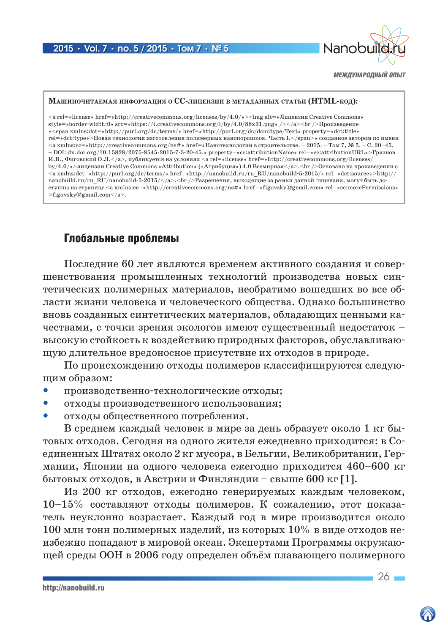

#### МАШИНОЧИТАЕМАЯ ИНФОРМАЦИЯ О СС-ЛИЦЕНЗИИ В МЕТАДАННЫХ СТАТЬИ (HTML-КОД):

 $\langle a rel = \text{hicense} * href = \text{http:} // creative commons.org/licenses/by/4.0/\text{m} < \text{img alt} \Rightarrow JIuqensus Creative Commons \rightarrow Juqensus$  $style=\text{border-width:0}\$  src=>https://i.creativecommons.org/l/by/4.0/88x31.png>/></a><br/><br/>>br/>Tpousnegenue  $\ll$ span xmlns:dct=>http://purl.org/dc/terms/>href=>http://purl.org/dc/dcmitype/Text>property=>dct:title> rel=»dct:type»>Новая технология изготовления полимерных нанопорошков. Часть I.</span>» созданное автором по имени <a xmlns:cc=»http://creativecommons.org/ns#» href=»Нанотехнологии в строительстве. - 2015. - Том 7, № 5. - С. 20-45.  $-D0I: dx.doi.org/10.15828/2075-8545-2015-7-5-20-45.$  property=scc.attributionNames rel=scc.attributionURLs> $\Gamma$ рязнов И.В., Фиговский О.Л.</a>, публикуется на условиях <a rel=»license» href=»http://creativecommons.org/licenses/ by/4.0/»>лицензии Creative Commons «Attribution» («Атрибуция») 4.0 Всемирная </a>>>>>>. <br/>br />Основано на произведении с  $\langle \alpha \rangle$  xmlns:dct=>http://purl.org/dc/terms/> href=>http://nanobuild.ru/ru RU/nanobuild-5-2015/>rel=>dct:source>http:// nanobuild.ru/ru RU/nanobuild-5-2015/</a>.<br/>>br/> />Paзрешения, выходящие за рамки данной лицензии, могут быть доступны на странице <a xmlns:cc=>http://creativecommons.org/ns#>href=>figovsky@gmail.com>rel=>cc:morePermissions> >figovsky@gmail.com</a>.

# Глобальные проблемы

Последние 60 лет являются временем активного создания и совершенствования промышленных технологий производства новых синтетических полимерных материалов, необратимо вошедших во все области жизни человека и человеческого общества. Однако большинство вновь созданных синтетических материалов, обладающих ценными качествами, с точки зрения экологов имеют существенный недостаток высокую стойкость к воздействию природных факторов, обуславливающую длительное вредоносное присутствие их отходов в природе.

По происхождению отходы полимеров классифицируются следуюшим образом:

- производственно-технологические отходы;
- $\bullet$ отходы производственного использования;
- отходы общественного потребления.

В среднем каждый человек в мире за день образует около 1 кг бытовых отходов. Сегодня на одного жителя ежедневно приходится: в Соединенных Штатах около 2 кг мусора, в Бельгии, Великобритании, Германии. Японии на одного человека ежегодно приходится 460-600 кг бытовых отходов, в Австрии и Финляндии – свыше 600 кг [1].

Из 200 кг отходов, ежегодно генерируемых каждым человеком,  $10-15\%$  составляют отходы полимеров. К сожалению, этот показатель неуклонно возрастает. Каждый год в мире производится около 100 млн тонн полимерных изделий, из которых  $10\%$  в виде отходов неизбежно попадают в мировой океан. Экспертами Программы окружающей среды ООН в 2006 году определен объём плавающего полимерного

 $26 -$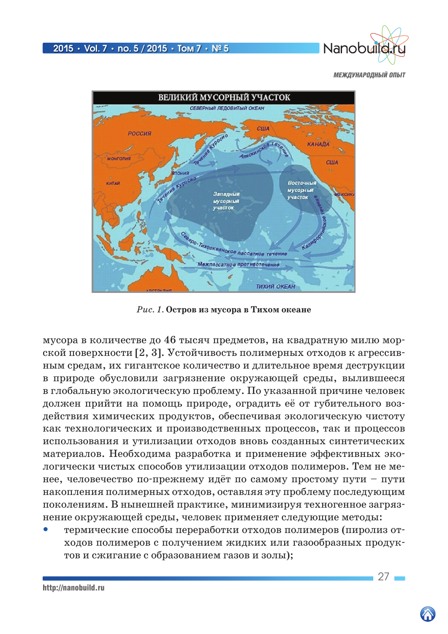



*Рис. 1.* **Остров из мусора в Тихом океане**

мусора в количестве до 46 тысяч предметов, на квадратную милю морской поверхности [2, 3]. Устойчивость полимерных отходов к агрессивным средам, их гигантское количество и длительное время деструкции в природе обусловили загрязнение окружающей среды, вылившееся в глобальную экологическую проблему. По указанной причине человек должен прийти на помощь природе, оградить её от губительного воздействия химических продуктов, обеспечивая экологическую чистоту как технологических и производственных процессов, так и процессов использования и утилизации отходов вновь созданных синтетических материалов. Необходима разработка и применение эффективных экологически чистых способов утилизации отходов полимеров. Тем не менее, человечество по-прежнему идёт по самому простому пути – пути накопления полимерных отходов, оставляя эту проблему последующим поколениям. В нынешней практике, минимизируя техногенное загрязнение окружающей среды, человек применяет следующие методы:

 термические способы переработки отходов полимеров (пиролиз отходов полимеров с получением жидких или газообразных продуктов и сжигание с образованием газов и золы);

http://nanobuild.ru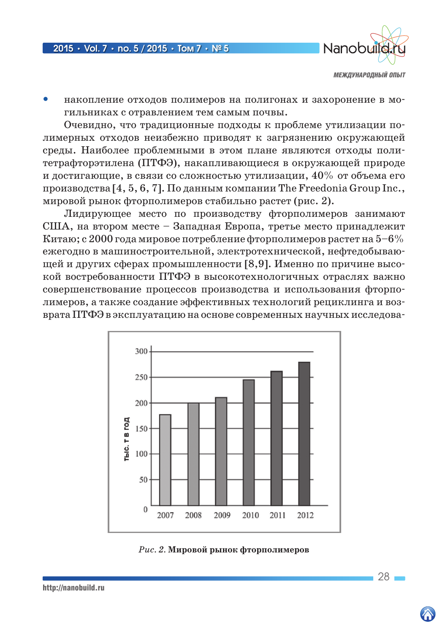

 накопление отходов полимеров на полигонах и захоронение в могильниках с отравлением тем самым почвы.

Очевидно, что традиционные подходы к проблеме утилизации полимерных отходов неизбежно приводят к загрязнению окружающей среды. Наиболее проблемными в этом плане являются отходы политетрафторэтилена (ПТФЭ), накапливающиеся в окружающей природе и достигающие, в связи со сложностью утилизации,  $40\%$  от объема его производства [4, 5, 6, 7]. По данным компании The Freedonia Group Inc., мировой рынок фторполимеров стабильно растет (рис. 2).

Лидирующее место по производству фторполимеров занимают США, на втором месте – Западная Европа, третье место принадлежит Китаю; с 2000 года мировое потребление фторполимеров растет на  $5-6\%$ ежегодно в машиностроительной, электротехнической, нефтедобывающей и других сферах промышленности [8,9]. Именно по причине высокой востребованности ПТФЭ в высокотехнологичных отраслях важно совершенствование процессов производства и использования фторполимеров, а также создание эффективных технологий рециклинга и возврата ПТФЭ в эксплуатацию на основе современных научных исследова-



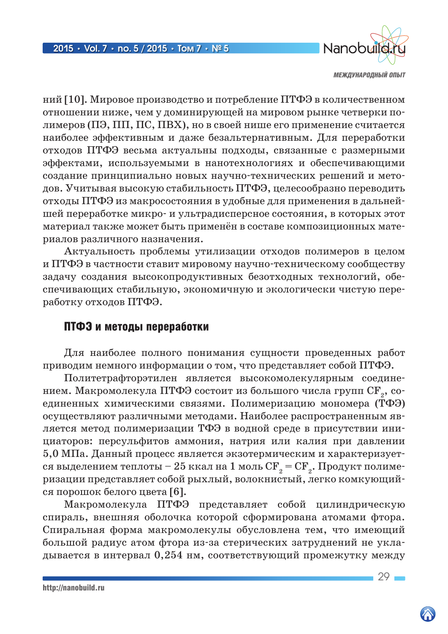

ний [10]. Мировое производство и потребление ПТФЭ в количественном отношении ниже, чем у доминирующей на мировом рынке четверки полимеров (ПЭ, ПП, ПС, ПВХ), но в своей нише его применение считается наиболее эффективным и даже безальтернативным. Для переработки отходов ПТФЭ весьма актуальны подходы, связанные с размерными эффектами, используемыми в нанотехнологиях и обеспечивающими создание принципиально новых научно-технических решений и методов. Учитывая высокую стабильность ПТФЭ, целесообразно переводить отходы ПТФЭ из макросостояния в удобные для применения в дальнейшей переработке микро- и ультрадисперсное состояния, в которых этот материал также может быть применён в составе композиционных материалов различного назначения.

Актуальность проблемы утилизации отходов полимеров в целом и ПТФЭ в частности ставит мировому научно-техническому сообществу задачу создания высокопродуктивных безотходных технологий, обеспечивающих стабильную, экономичную и экологически чистую переработку отходов ПТФЭ.

# ПТФЭ и методы переработки

Для наиболее полного понимания сущности проведенных работ приводим немного информации о том, что представляет собой ПТФЭ.

Политетрафторэтилен является высокомолекулярным соединением. Макромолекула ПТФЭ состоит из большого числа групп  $CF_{2}$ , соединенных химическими связями. Полимеризацию мономера (ТФЭ) осуществляют различными методами. Наиболее распространенным является метод полимеризации ТФЭ в водной среде в присутствии инициаторов: персульфитов аммония, натрия или калия при давлении 5,0 МПа. Данный процесс является экзотермическим и характеризуется выделением теплоты – 25 ккал на 1 моль  $CF_2 = CF_2$ . Продукт полимеризации представляет собой рыхлый, волокнистый, легко комкующийся порошок белого цвета [6].

Макромолекула ПТФЭ представляет собой цилиндрическую спираль, внешняя оболочка которой сформирована атомами фтора. Спиральная форма макромолекулы обусловлена тем, что имеющий большой радиус атом фтора из-за стерических затруднений не укладывается в интервал 0,254 нм, соответствующий промежутку между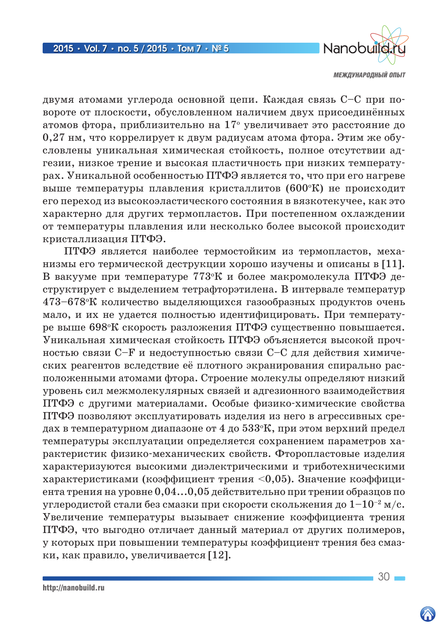

двумя атомами углерода основной цепи. Каждая связь С-С при повороте от плоскости, обусловленном наличием двух присоединённых атомов фтора, приблизительно на 17° увеличивает это расстояние до 0,27 нм, что коррелирует к двум радиусам атома фтора. Этим же обусловлены уникальная химическая стойкость, полное отсутствии адгезии, низкое трение и высокая пластичность при низких температурах. Уникальной особенностью ПТФЭ является то, что при его нагреве выше температуры плавления кристаллитов (600°К) не происходит его переход из высокоэластического состояния в вязкотекучее, как это характерно для других термопластов. При постепенном охлаждении от температуры плавления или несколько более высокой происходит кристаллизация ПТФЭ.

ПТФЭ является наиболее термостойким из термопластов, механизмы его термической деструкции хорошо изучены и описаны в [11]. В вакууме при температуре 773°К и более макромолекула ПТФЭ деструктирует с выделением тетрафторэтилена. В интервале температур 473-678°К количество выделяющихся газообразных продуктов очень мало, и их не удается полностью идентифицировать. При температуре выше 698°К скорость разложения ПТФЭ существенно повышается. Уникальная химическая стойкость ПТФЭ объясняется высокой прочностью связи С-F и недоступностью связи С-С для действия химических реагентов вследствие её плотного экранирования спирально расположенными атомами фтора. Строение молекулы определяют низкий уровень сил межмолекулярных связей и адгезионного взаимодействия ПТФЭ с другими материалами. Особые физико-химические свойства ПТФЭ позволяют эксплуатировать изделия из него в агрессивных средах в температурном диапазоне от 4 до  $533^{\circ}$ К, при этом верхний предел температуры эксплуатации определяется сохранением параметров характеристик физико-механических свойств. Фторопластовые изделия характеризуются высокими диэлектрическими и триботехническими характеристиками (коэффициент трения <0.05). Значение коэффициента трения на уровне 0,04...0,05 действительно при трении образцов по углеродистой стали без смазки при скорости скольжения до  $1-10^{-2}$  м/с. Увеличение температуры вызывает снижение коэффициента трения ПТФЭ, что выгодно отличает данный материал от других полимеров, у которых при повышении температуры коэффициент трения без смазки, как правило, увеличивается [12].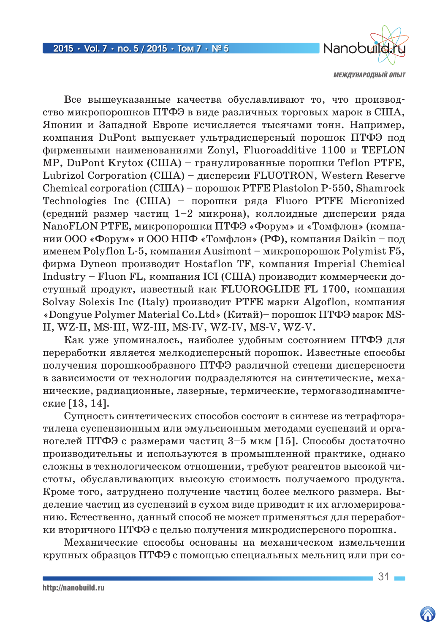

Все вышеуказанные качества обуславливают то, что производство микропорошков ПТФЭ в виде различных торговых марок в США, Японии и Западной Европе исчисляется тысячами тонн. Например, компания DuPont выпускает ультрадисперсный порошок ПТФЭ под фирменными наименованиями Zonyl, Fluoroadditive 1100 и TEFLON MP, DuPont Krytox (США) – гранулированные порошки Teflon PTFE, Lubrizol Corporation (США) – дисперсии FLUOTRON, Western Reserve Chemical corporation (США) – порошок PTFE Plastolon P-550, Shamrock Technologies Inc (США) – порошки ряда Fluoro PTFE Micronized (средний размер частиц 1–2 микрона), коллоидные дисперсии ряда NanoFLON PTFE, микропорошки ПТФЭ «Форум» и «Томфлон» (компании ООО «Форум» и ООО НПФ «Томфлон» (РФ), компания Daikin – под именем Polyflon L-5, компания Ausimont – микропорошок Polymist F5, фирма Dyneon производит Hostaflon TF, компания Imperial Chemical Industry – Fluon FL, компания ICI (США) производит коммерчески доступный продукт, известный как FLUOROGLIDE FL 1700, компания Solvay Solexis Inc (Italy) производит PTFE марки Algoflon, компания «Dongyue Polymer Material Co.Ltd» (Китай)– порошок ПТФЭ марок MS-II, WZ-II, MS-III, WZ-III, MS-IV, WZ-IV, MS-V, WZ-V.

Как уже упоминалось, наиболее удобным состоянием ПТФЭ для переработки является мелкодисперсный порошок. Известные способы получения порошкообразного ПТФЭ различной степени дисперсности в зависимости от технологии подразделяются на синтетические, механические, радиационные, лазерные, термические, термогазодинамические [13, 14].

Сущность синтетических способов состоит в синтезе из тетрафторэтилена суспензионным или эмульсионным методами суспензий и органогелей ПТФЭ с размерами частиц 3–5 мкм [15]. Способы достаточно производительны и используются в промышленной практике, однако сложны в технологическом отношении, требуют реагентов высокой чистоты, обуславливающих высокую стоимость получаемого продукта. Кроме того, затруднено получение частиц более мелкого размера. Выделение частиц из суспензий в сухом виде приводит к их агломерированию. Естественно, данный способ не может применяться для переработки вторичного ПТФЭ с целью получения микродисперсного порошка.

Механические способы основаны на механическом измельчении крупных образцов ПТФЭ с помощью специальных мельниц или при со-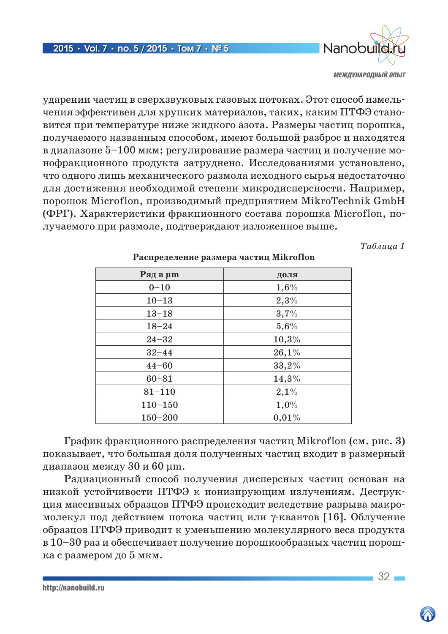

ударении частиц в сверхзвуковых газовых потоках. Этот способ измельчения эффективен для хрупких материалов, таких, каким ПТФЭ становится при температуре ниже жидкого азота. Размеры частиц порошка, получаемого названным способом, имеют большой разброс и находятся в диапазоне 5–100 мкм; регулирование размера частиц и получение монофракционного продукта затруднено. Исследованиями установлено, что одного лишь механического размола исходного сырья недостаточно для достижения необходимой степени микродисперсности. Например, порошок Microflon, производимый предприятием MikroTechnik GmbH (ФРГ). Характеристики фракционного состава порошка Microflon, получаемого при размоле, подтверждают изложенное выше.

*Таблица 1*

| Ряд в µт    | доля  |
|-------------|-------|
| $0 - 10$    | 1,6%  |
| $10 - 13$   | 2,3%  |
| $13 - 18$   | 3,7%  |
| $18 - 24$   | 5,6%  |
| $24 - 32$   | 10,3% |
| $32 - 44$   | 26,1% |
| $44 - 60$   | 33,2% |
| $60 - 81$   | 14,3% |
| $81 - 110$  | 2,1%  |
| $110 - 150$ | 1,0%  |
| $150 - 200$ | 0,01% |

### **Распределение размера частиц Mikroflon**

График фракционного распределения частиц Mikroflon (см. рис. 3) показывает, что большая доля полученных частиц входит в размерный диапазон между 30 и 60 µm.

Радиационный способ получения дисперсных частиц основан на низкой устойчивости ПТФЭ к ионизирующим излучениям. Деструкция массивных образцов ПТФЭ происходит вследствие разрыва макромолекул под действием потока частиц или γ-квантов [16]. Облучение образцов ПТФЭ приводит к уменьшению молекулярного веса продукта в 10–30 раз и обеспечивает получение порошкообразных частиц порошка с размером до 5 мкм.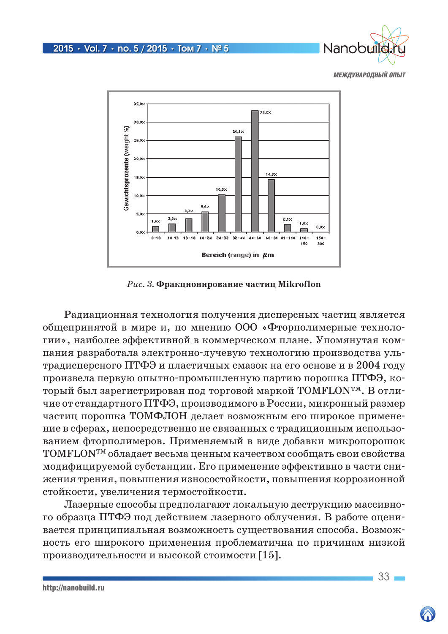



*Рис. 3.* **Фракционирование частиц Mikroflon**

Радиационная технология получения дисперсных частиц является общепринятой в мире и, по мнению ООО «Фторполимерные технологии», наиболее эффективной в коммерческом плане. Упомянутая компания разработала электронно-лучевую технологию производства ультрадисперсного ПТФЭ и пластичных смазок на его основе и в 2004 году произвела первую опытно-промышленную партию порошка ПТФЭ, который был зарегистрирован под торговой маркой TOMFLON™. В отличие от стандартного ПТФЭ, производимого в России, микронный размер частиц порошка ТОМФЛОН делает возможным его широкое применение в сферах, непосредственно не связанных с традиционным использованием фторполимеров. Применяемый в виде добавки микропорошок TOMFLONTM обладает весьма ценным качеством сообщать свои свойства модифицируемой субстанции. Его применение эффективно в части снижения трения, повышения износостойкости, повышения коррозионной стойкости, увеличения термостойкости.

Лазерные способы предполагают локальную деструкцию массивного образца ПТФЭ под действием лазерного облучения. В работе оценивается принципиальная возможность существования способа. Возможность его широкого применения проблематична по причинам низкой производительности и высокой стоимости [15].

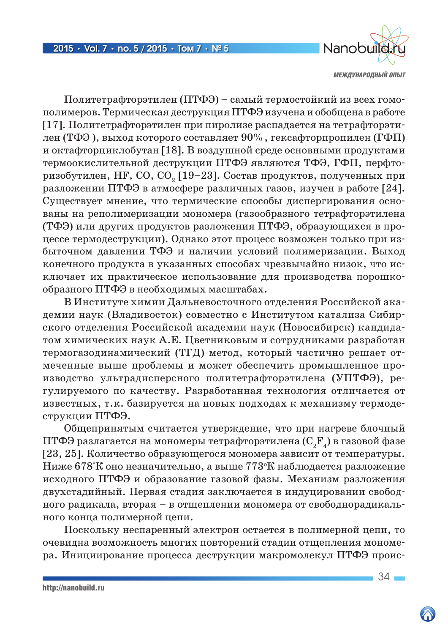

Политетрафторэтилен (ПТФЭ) – самый термостойкий из всех гомополимеров. Термическая деструкция ПТФЭ изучена и обобщена в работе [17]. Политетрафторэтилен при пиролизе распадается на тетрафторэтилен (ТФЭ), выход которого составляет  $90\%$ , гексафторпропилен (ГФП) и октафторциклобутан [18]. В воздушной среде основными продуктами термоокислительной деструкции ПТФЭ являются ТФЭ, ГФП, перфторизобутилен, HF, CO, CO<sub>2</sub> [19–23]. Состав продуктов, полученных при разложении ПТФЭ в атмосфере различных газов, изучен в работе [24]. Существует мнение, что термические способы диспергирования основаны на реполимеризации мономера (газообразного тетрафторэтилена (ТФЭ) или других продуктов разложения ПТФЭ, образующихся в процессе термодеструкции). Однако этот процесс возможен только при избыточном давлении ТФЭ и наличии условий полимеризации. Выход конечного продукта в указанных способах чрезвычайно низок, что исключает их практическое использование для производства порошкообразного ПТФЭ в необходимых масштабах.

В Институте химии Дальневосточного отделения Российской академии наук (Владивосток) совместно с Институтом катализа Сибирского отделения Российской академии наук (Новосибирск) кандидатом химических наук А.Е. Цветниковым и сотрудниками разработан термогазодинамический (ТГД) метод, который частично решает отмеченные выше проблемы и может обеспечить промышленное производство ультрадисперсного политетрафторэтилена (УПТФЭ), регулируемого по качеству. Разработанная технология отличается от известных, т.к. базируется на новых подходах к механизму термодеструкции ПТФЭ.

Общепринятым считается утверждение, что при нагреве блочный ПТФЭ разлагается на мономеры тетрафторэтилена  $(\mathrm{C}_2\mathrm{F}_4)$  в газовой фазе [23, 25]. Количество образующегося мономера зависит от температуры. Ниже 678°К оно незначительно, а выше 773о К наблюдается разложение исходного ПТФЭ и образование газовой фазы. Механизм разложения двухстадийный. Первая стадия заключается в индуцировании свободного радикала, вторая – в отщеплении мономера от свободнорадикального конца полимерной цепи.

Поскольку неспаренный электрон остается в полимерной цепи, то очевидна возможность многих повторений стадии отщепления мономера. Инициирование процесса деструкции макромолекул ПТФЭ проис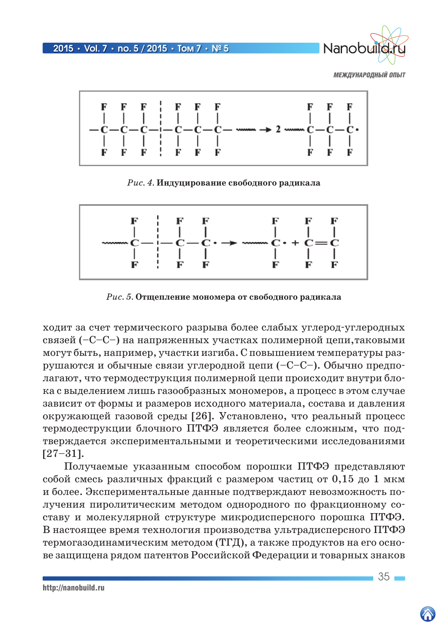2015 **•** Vol. 7 **•** no. 5 / 2015 **•** Том 7 **•** № 5



*МЕЖДУНАРОДНЫЙ ОПЫТ*



*Рис. 4.* **Индуцирование свободного радикала**



*Рис. 5.* **Отщепление мономера от свободного радикала**

ходит за счет термического разрыва более слабых углерод-углеродных связей (–С–С–) на напряженных участках полимерной цепи,таковыми могут быть, например, участки изгиба. С повышением температуры разрушаются и обычные связи углеродной цепи (–С–С–). Обычно предполагают, что термодеструкция полимерной цепи происходит внутри блока с выделением лишь газообразных мономеров, а процесс в этом случае зависит от формы и размеров исходного материала, состава и давления окружающей газовой среды [26]. Установлено, что реальный процесс термодеструкции блочного ПТФЭ является более сложным, что подтверждается экспериментальными и теоретическими исследованиями [27–31].

Получаемые указанным способом порошки ПТФЭ представляют собой смесь различных фракций с размером частиц от 0,15 до 1 мкм и более. Экспериментальные данные подтверждают невозможность получения пиролитическим методом однородного по фракционному составу и молекулярной структуре микродисперсного порошка ПТФЭ. В настоящее время технология производства ультрадисперсного ПТФЭ термогазодинамическим методом (ТГД), а также продуктов на его основе защищена рядом патентов Российской Федерации и товарных знаков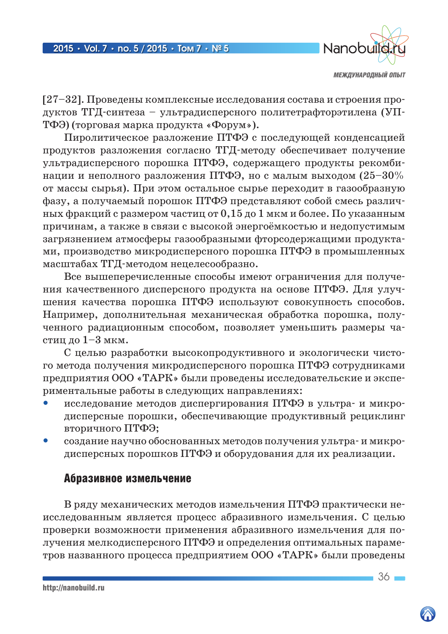

[27–32]. Проведены комплексные исследования состава и строения продуктов ТГД-синтеза – ультрадисперсного политетрафторэтилена (УП-ТФЭ) (торговая марка продукта «Форум»).

Пиролитическое разложение ПТФЭ с последующей конденсацией продуктов разложения согласно ТГД-методу обеспечивает получение ультрадисперсного порошка ПТФЭ, содержащего продукты рекомбинации и неполного разложения ПТФЭ, но с малым выходом  $(25-30\%$ от массы сырья). При этом остальное сырье переходит в газообразную фазу, а получаемый порошок ПТФЭ представляют собой смесь различных фракций с размером частиц от  $0,15$  до 1 мкм и более. По указанным причинам, а также в связи с высокой энергоёмкостью и недопустимым загрязнением атмосферы газообразными фторсодержащими продуктами, производство микродисперсного порошка ПТФЭ в промышленных масштабах ТГД-методом нецелесообразно.

Все вышеперечисленные способы имеют ограничения для получения качественного дисперсного продукта на основе ПТФЭ. Для улучшения качества порошка ПТФЭ используют совокупность способов. Например, дополнительная механическая обработка порошка, полученного радиационным способом, позволяет уменьшить размеры частиц до 1–3 мкм.

С целью разработки высокопродуктивного и экологически чистого метода получения микродисперсного порошка ПТФЭ сотрудниками предприятия ООО «ТАРК» были проведены исследовательские и экспериментальные работы в следующих направлениях:

- исследование методов диспергирования ПТФЭ в ультра- и микродисперсные порошки, обеспечивающие продуктивный рециклинг вторичного ПТФЭ;
- создание научно обоснованных методов получения ультра- и микродисперсных порошков ПТФЭ и оборудования для их реализации.

# Абразивное измельчение

В ряду механических методов измельчения ПТФЭ практически неисследованным является процесс абразивного измельчения. С целью проверки возможности применения абразивного измельчения для получения мелкодисперсного ПТФЭ и определения оптимальных параметров названного процесса предприятием ООО «ТАРК» были проведены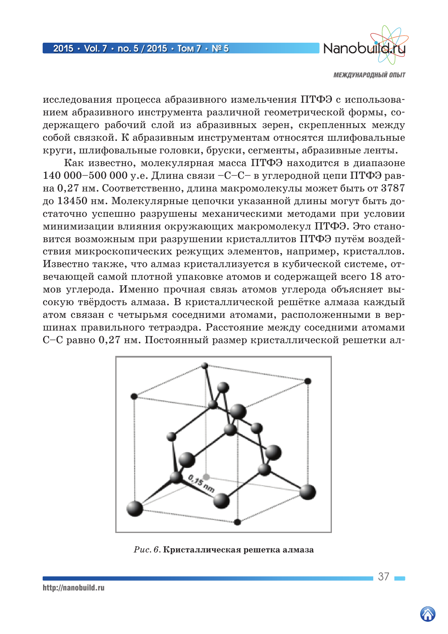

исследования процесса абразивного измельчения ПТФЭ с использованием абразивного инструмента различной геометрической формы, содержащего рабочий слой из абразивных зерен, скрепленных между собой связкой. К абразивным инструментам относятся шлифовальные круги, шлифовальные головки, бруски, сегменты, абразивные ленты.

Как известно, молекулярная масса ПТФЭ находится в диапазоне 140 000–500 000 у.е. Длина связи –С–С– в углеродной цепи ПТФЭ равна 0,27 нм. Соответственно, длина макромолекулы может быть от 3787 до 13450 нм. Молекулярные цепочки указанной длины могут быть достаточно успешно разрушены механическими методами при условии минимизации влияния окружающих макромолекул ПТФЭ. Это становится возможным при разрушении кристаллитов ПТФЭ путём воздействия микроскопических режущих элементов, например, кристаллов. Известно также, что алмаз кристаллизуется в кубической системе, отвечающей самой плотной упаковке атомов и содержащей всего 18 атомов углерода. Именно прочная связь атомов углерода объясняет высокую твёрдость алмаза. В кристаллической решётке алмаза каждый атом связан с четырьмя соседними атомами, расположенными в вершинах правильного тетраэдра. Расстояние между соседними атомами С–С равно 0,27 нм. Постоянный размер кристаллической решетки ал-



*Рис. 6.* **Кристаллическая решетка алмаза**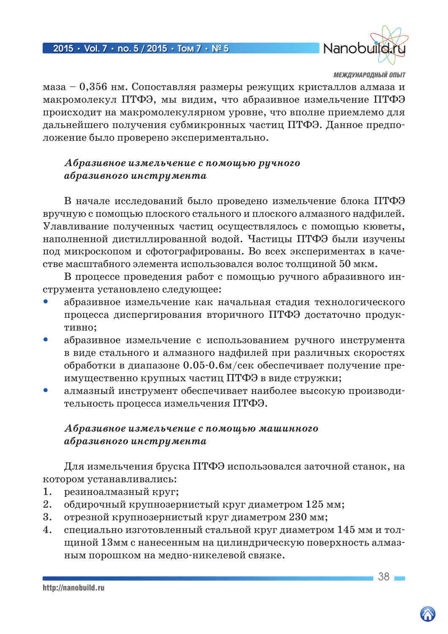

маза – 0,356 нм. Сопоставляя размеры режущих кристаллов алмаза и макромолекул ПТФЭ, мы видим, что абразивное измельчение ПТФЭ происходит на макромолекулярном уровне, что вполне приемлемо для дальнейшего получения субмикронных частиц ПТФЭ. Данное предположение было проверено экспериментально.

# *Абразивное измельчение с помощью ручного абразивного инструмента*

В начале исследований было проведено измельчение блока ПТФЭ вручную с помощью плоского стального и плоского алмазного надфилей. Улавливание полученных частиц осуществлялось с помощью кюветы, наполненной дистиллированной водой. Частицы ПТФЭ были изучены под микроскопом и сфотографированы. Во всех экспериментах в качестве масштабного элемента использовался волос толщиной 50 мкм.

В процессе проведения работ с помощью ручного абразивного инструмента установлено следующее:

- абразивное измельчение как начальная стадия технологического процесса диспергирования вторичного ПТФЭ достаточно продуктивно;
- абразивное измельчение с использованием ручного инструмента в виде стального и алмазного надфилей при различных скоростях обработки в диапазоне 0.05-0.6м/сек обеспечивает получение преимущественно крупных частиц ПТФЭ в виде стружки;
- алмазный инструмент обеспечивает наиболее высокую производительность процесса измельчения ПТФЭ.

# *Абразивное измельчение с помощью машинного абразивного инструмента*

Для измельчения бруска ПТФЭ использовался заточной станок, на котором устанавливались:

- 1. резиноалмазный круг;
- 2. обдирочный крупнозернистый круг диаметром 125 мм;
- 3. отрезной крупнозернистый круг диаметром 230 мм;
- 4. специально изготовленный стальной круг диаметром 145 мм и толщиной 13мм с нанесенным на цилиндрическую поверхность алмазным порошком на медно-никелевой связке.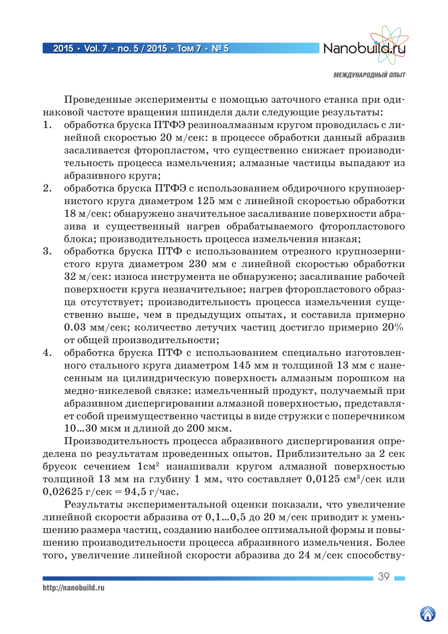

Проведенные эксперименты с помощью заточного станка при одинаковой частоте вращения шпинделя дали следующие результаты:

- 1. обработка бруска ПТФЭ резиноалмазным кругом проводилась с линейной скоростью 20 м/сек: в процессе обработки данный абразив засаливается фторопластом, что существенно снижает производительность процесса измельчения; алмазные частицы выпадают из абразивного круга;
- 2. обработка бруска ПТФЭ с использованием обдирочного крупнозернистого круга диаметром 125 мм с линейной скоростью обработки 18 м/сек: обнаружено значительное засаливание поверхности абразива и существенный нагрев обрабатываемого фторопластового блока; производительность процесса измельчения низкая;
- 3. обработка бруска ПТФ с использованием отрезного крупнозернистого круга диаметром 230 мм с линейной скоростью обработки 32 м/сек: износа инструмента не обнаружено; засаливание рабочей поверхности круга незначительное; нагрев фторопластового образца отсутствует; производительность процесса измельчения существенно выше, чем в предыдущих опытах, и составила примерно 0.03 мм/сек; количество летучих частиц достигло примерно  $20\%$ от общей производительности;
- 4. обработка бруска ПТФ с использованием специально изготовленного стального круга диаметром 145 мм и толщиной 13 мм с нанесенным на цилиндрическую поверхность алмазным порошком на медно-никелевой связке: измельченный продукт, получаемый при абразивном диспергировании алмазной поверхностью, представляет собой преимущественно частицы в виде стружки с поперечником 10…30 мкм и длиной до 200 мкм.

Производительность процесса абразивного диспергирования определена по результатам проведенных опытов. Приблизительно за 2 сек брусок сечением  $1 \text{cm}^2$  изнашивали кругом алмазной поверхностью толщиной 13 мм на глубину 1 мм, что составляет  $0.0125$  см<sup>3</sup>/сек или 0,02625 г/сек = 94,5 г/час.

Результаты экспериментальной оценки показали, что увеличение линейной скорости абразива от  $0,1...0,5$  до  $20$  м/сек приводит к уменьшению размера частиц, созданию наиболее оптимальной формы и повышению производительности процесса абразивного измельчения. Более того, увеличение линейной скорости абразива до 24 м/сек способству-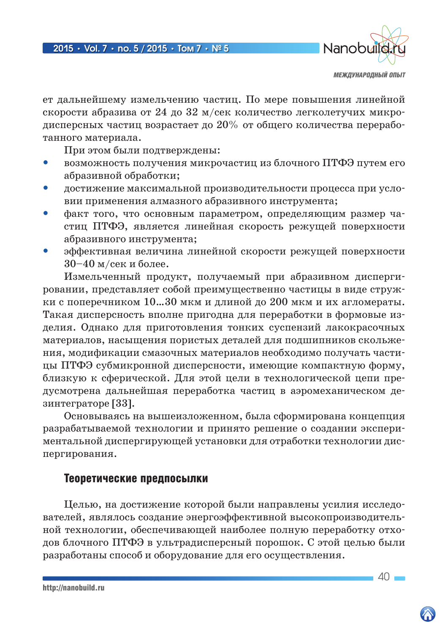

ет дальнейшему измельчению частиц. По мере повышения линейной скорости абразива от 24 до 32 м/сек количество легколетучих микродисперсных частиц возрастает до 20% от общего количества переработанного материала.

При этом были подтверждены:

- возможность получения микрочастиц из блочного ПТФЭ путем его абразивной обработки;
- достижение максимальной производительности процесса при условии применения алмазного абразивного инструмента;
- факт того, что основным параметром, определяющим размер частиц ПТФЭ, является линейная скорость режущей поверхности абразивного инструмента;
- эффективная величина линейной скорости режущей поверхности 30–40 м/сек и более.

Измельченный продукт, получаемый при абразивном диспергировании, представляет собой преимущественно частицы в виде стружки с поперечником 10…30 мкм и длиной до 200 мкм и их агломераты. Такая дисперсность вполне пригодна для переработки в формовые изделия. Однако для приготовления тонких суспензий лакокрасочных материалов, насыщения пористых деталей для подшипников скольжения, модификации смазочных материалов необходимо получать частицы ПТФЭ субмикронной дисперсности, имеющие компактную форму, близкую к сферической. Для этой цели в технологической цепи предусмотрена дальнейшая переработка частиц в аэромеханическом дезинтеграторе [33].

Основываясь на вышеизложенном, была сформирована концепция разрабатываемой технологии и принято решение о создании экспериментальной диспергирующей установки для отработки технологии диспергирования.

# Теоретические предпосылки

Целью, на достижение которой были направлены усилия исследователей, являлось создание энергоэффективной высокопроизводительной технологии, обеспечивающей наиболее полную переработку отходов блочного ПТФЭ в ультрадисперсный порошок. С этой целью были разработаны способ и оборудование для его осуществления.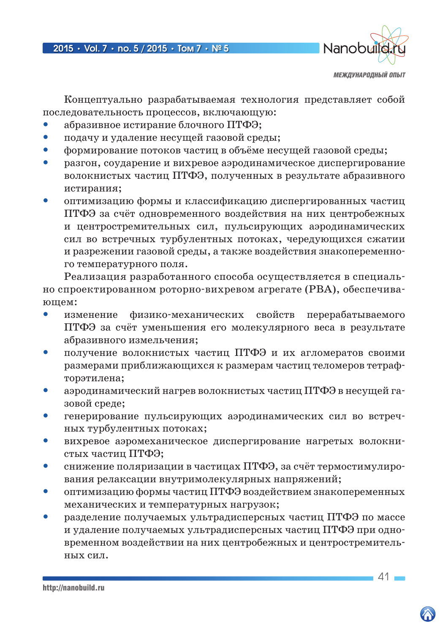

Концептуально разрабатываемая технология представляет собой последовательность процессов, включающую:

- абразивное истирание блочного ПТФЭ;
- подачу и удаление несущей газовой среды;
- формирование потоков частиц в объёме несущей газовой среды;
- разгон, соударение и вихревое аэродинамическое диспергирование волокнистых частиц ПТФЭ, полученных в результате абразивного истирания;
- оптимизацию формы и классификацию диспергированных частиц ПТФЭ за счёт одновременного воздействия на них центробежных и центростремительных сил, пульсирующих аэродинамических сил во встречных турбулентных потоках, чередующихся сжатии и разрежении газовой среды, а также воздействия знакопеременного температурного поля.

Реализация разработанного способа осуществляется в специально спроектированном роторно-вихревом агрегате (РВА), обеспечивающем:

- изменение физико-механических свойств перерабатываемого ПТФЭ за счёт уменьшения его молекулярного веса в результате абразивного измельчения;
- получение волокнистых частиц ПТФЭ и их агломератов своими размерами приближающихся к размерам частиц теломеров тетрафторэтилена;
- аэродинамический нагрев волокнистых частиц ПТФЭ в несущей газовой среде;
- генерирование пульсирующих аэродинамических сил во встречных турбулентных потоках;
- вихревое аэромеханическое диспергирование нагретых волокнистых частиц ПТФЭ;
- снижение поляризации в частицах ПТФЭ, за счёт термостимулирования релаксации внутримолекулярных напряжений;
- оптимизацию формы частиц ПТФЭ воздействием знакопеременных механических и температурных нагрузок;
- разделение получаемых ультрадисперсных частиц ПТФЭ по массе и удаление получаемых ультрадисперсных частиц ПТФЭ при одновременном воздействии на них центробежных и центростремительных сил.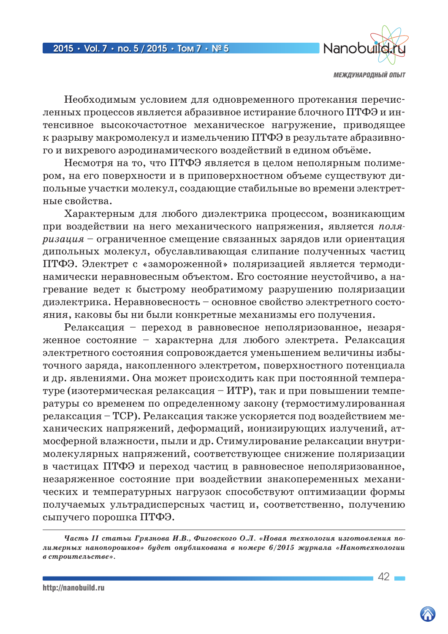

Необходимым условием для одновременного протекания перечисленных процессов является абразивное истирание блочного ПТФЭ и интенсивное высокочастотное механическое нагружение, приводящее к разрыву макромолекул и измельчению ПТФЭ в результате абразивного и вихревого аэродинамического воздействий в едином объёме.

Несмотря на то, что ПТФЭ является в целом неполярным полимером, на его поверхности и в приповерхностном объеме существуют дипольные участки молекул, создающие стабильные во времени электретные свойства.

Характерным для любого диэлектрика процессом, возникающим при воздействии на него механического напряжения, является поляризация - ограниченное смещение связанных зарядов или ориентация липольных молекул, обуславливающая слипание полученных частиц ПТФЭ. Электрет с «замороженной» поляризацией является термодинамически неравновесным объектом. Его состояние неустойчиво, а нагревание ведет к быстрому необратимому разрушению поляризации диэлектрика. Неравновесность - основное свойство электретного состояния, каковы бы ни были конкретные механизмы его получения.

Релаксация - переход в равновесное неполяризованное, незаряженное состояние - характерна для любого электрета. Релаксация электретного состояния сопровождается уменьшением величины избыточного заряда, накопленного электретом, поверхностного потенциала и др. явлениями. Она может происходить как при постоянной температуре (изотермическая релаксация – ИТР), так и при повышении температуры со временем по определенному закону (термостимулированная релаксация – ТСР). Релаксация также ускоряется под воздействием механических напряжений, деформаций, ионизирующих излучений, атмосферной влажности, пыли и др. Стимулирование релаксации внутримолекулярных напряжений, соответствующее снижение поляризации в частицах ПТФЭ и переход частиц в равновесное неполяризованное, незаряженное состояние при воздействии знакопеременных механических и температурных нагрузок способствуют оптимизации формы получаемых ультрадисперсных частиц и, соответственно, получению сыпучего порошка ПТФЭ.

Часть II статьи Грязнова И.В., Фиговского О.Л. «Новая технология изготовления полимерных нанопорошков» будет опубликована в номере 6/2015 журнала «Нанотехнологии в строительстве».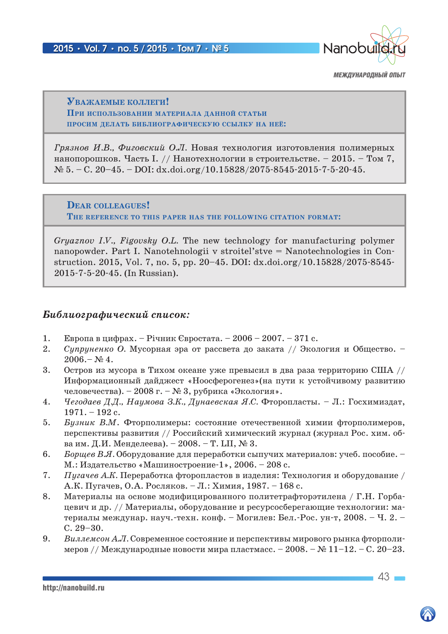

### Уважаемые коллеги! При использовании материала ланной статьи ПРОСИМ ДЕЛАТЬ БИБЛИОГРАФИЧЕСКУЮ ССЫЛКУ НА НЕЁ:

Грязнов И.В., Фиговский О.Л. Новая технология изготовления полимерных нанопорошков. Часть І. // Нанотехнологии в строительстве. - 2015. - Том 7,  $\mathcal{N}_{2}$  5. - C. 20-45. - DOI: dx.doi.org/10.15828/2075-8545-2015-7-5-20-45.

DEAR COLLEAGUES! THE REFERENCE TO THIS PAPER HAS THE FOLLOWING CITATION FORMAT:

Gryaznov I.V., Figovsky O.L. The new technology for manufacturing polymer nanopowder. Part I. Nanotehnologii v stroitel'stve = Nanotechnologies in Construction. 2015, Vol. 7, no. 5, pp. 20–45. DOI: dx.doi.org/10.15828/2075-8545-2015-7-5-20-45. (In Russian).

### Библиографический список:

- 1. Европа в цифрах. – Річник Євростата. – 2006 – 2007. – 371 с.
- 2. Супруненко О. Мусорная эра от рассвета до заката // Экология и Общество. - $2006 - N_2 4$ .
- 3. Остров из мусора в Тихом океане уже превысил в два раза территорию США // Информационный дайджест «Ноосферогенез» (на пути к устойчивому развитию человечества). - 2008 г. - № 3, рубрика «Экология».
- $4.$ Чегодаев Д.Д., Наумова З.К., Дунаевская Я.С. Фторопласты. - Л.: Госхимиздат,  $1971. - 192c.$
- Бузник В.М. Фторполимеры: состояние отечественной химии фторполимеров,  $5<sub>1</sub>$ перспективы развития // Российский химический журнал (журнал Рос. хим. обва им. Д.И. Менделеева). - 2008. - Т. LII,  $\mathbb{N}^2$  3.
- 6. Борщев В.Я. Оборудование для переработки сыпучих материалов: учеб. пособие. -М.: Издательство «Машиностроение-1», 2006. - 208 с.
- $7.$ Пугачев А.К. Переработка фторопластов в изделия: Технология и оборудование / А.К. Пугачев, О.А. Росляков. - Л.: Химия, 1987. - 168 с.
- 8. Материалы на основе модифицированного политетрафторэтилена / Г.Н. Горбацевич и др. // Материалы, оборудование и ресурсосберегающие технологии: материалы междунар. науч.-техн. конф. – Могилев: Бел.-Рос. ун-т, 2008. – Ч. 2. –  $C. 29-30.$
- 9. Виллемсон А.Л. Современное состояние и перспективы мирового рынка фторполимеров // Международные новости мира пластмасс. − 2008. – № 11-12. – С. 20–23.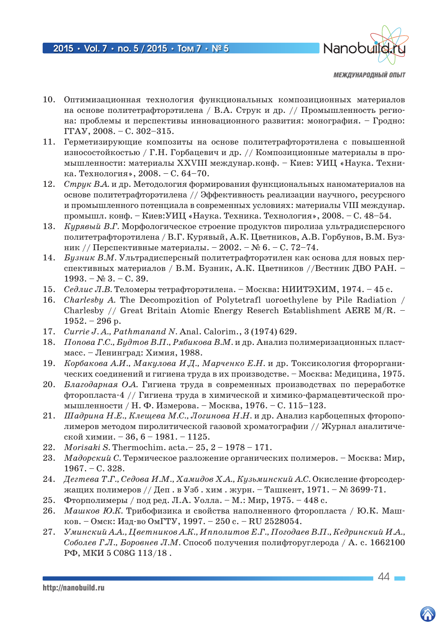

- 10. Оптимизационная технология функциональных композиционных материалов на основе политетрафторэтилена / В.А. Струк и др. // Промышленность региона: проблемы и перспективы инновационного развития: монография. – Гродно: ГГАУ, 2008. – С. 302–315.
- 11. Герметизирующие композиты на основе политетрафторэтилена с повышенной износостойкостью / Г.Н. Горбацевич и др. // Композиционные материалы в промышленности: материалы XXVIII междунар.конф. – Киев: УИЦ «Наука. Техника. Технология», 2008. – С. 64–70.
- 12. *Струк В.А.* и др. Методология формирования функциональных наноматериалов на основе политетрафторэтилена // Эффективность реализации научного, ресурсного и промышленного потенциала в современных условиях: материалы VIII междунар. промышл. конф. – Киев:УИЦ «Наука. Техника. Технология», 2008. – С. 48–54.
- 13. *Курявый В.Г.* Морфологическое строение продуктов пиролиза ультрадисперсного политетрафторэтилена / В.Г. Курявый, А.К. Цветников, А.В. Горбунов, В.М. Бузник // Перспективные материалы. – 2002. – № 6. – С. 72–74.
- 14. *Бузник В.М.* Ультрадисперсный политетрафторэтилен как основа для новых перспективных материалов / В.М. Бузник, А.К. Цветников //Вестник ДВО РАН. –  $1993. - N_2 3. - C. 39.$
- 15. *Седлис Л.В.* Теломеры тетрафторэтилена. Москва: НИИТЭХИМ, 1974. 45 с.
- 16. *Charlesby А.* The Decompozition of Polytetrafl uoroethylene by Pile Radiation / Charlesby // Great Britain Atomic Energy Reserch Establishment AERE M/R. – 1952. – 296 р.
- 17. *Currie J. A., Pathmanаnd N.* Anal. Calorim., 3 (1974) 629.
- 18. *Попова Г.С., Будтов В.П., Рябикова В.М.* и др. Анализ полимеризационных пластмасс. – Ленинград: Химия, 1988.
- 19. *Корбакова А.И., Макулова И.Д., Марченко Е.Н.* и др. Токсикология фторорганических соединений и гигиена труда в их производстве. – Москва: Медицина, 1975.
- 20. *Благодарная О.А.* Гигиена труда в современных производствах по переработке фторопласта-4 // Гигиена труда в химической и химико-фармацевтической промышленности / Н. Ф. Измерова. – Москва, 1976. – С. 115–123.
- 21. *Шадрина Н.Е., Клещева М.С., Логинова Н.Н.* и др. Анализ карбоцепных фторополимеров методом пиролитической газовой хроматографии // Журнал аналитической химии. – 36, 6 – 1981. – 1125.
- 22. *Morisaki S.* Thermochim. acta.– 25, 2 1978 171.
- 23. *Мадорский С.* Термическое разложение органических полимеров. Москва: Мир, 1967. – С. 328.
- 24. *Дегтева Т.Г., Седова И.М., Хамидов Х.А., Кузьминский А.С.* Окисление фторсодержащих полимеров // Деп. в Узб. хим. журн. – Ташкент, 1971. – № 3699-71.
- 25. Фторполимеры / под ред. Л.А. Уолла. М.: Мир, 1975. 448 с.
- 26. *Машков Ю.К.* Трибофизика и свойства наполненного фторопласта / Ю.К. Машков. – Омск: Изд-во ОмГТУ, 1997. – 250 c. – RU 2528054.
- 27. *Уминский А.А., Цветников А.К., Ипполитов Е.Г., Погодаев В.П., Кедринский И.А., Соболев Г.Л., Боровнев Л.М.* Способ получения полифторуглерода / А. с. 1662100 РФ, МКИ 5 C08G 113/18 .